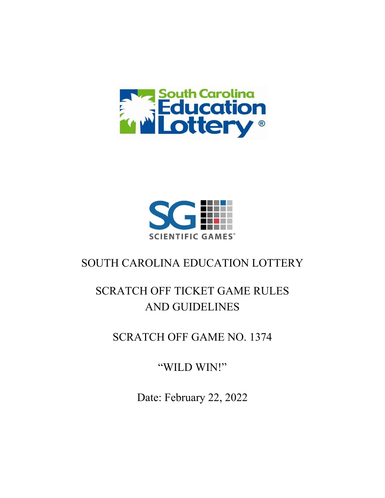



# SOUTH CAROLINA EDUCATION LOTTERY

# SCRATCH OFF TICKET GAME RULES AND GUIDELINES

SCRATCH OFF GAME NO. 1374

"WILD WIN!"

Date: February 22, 2022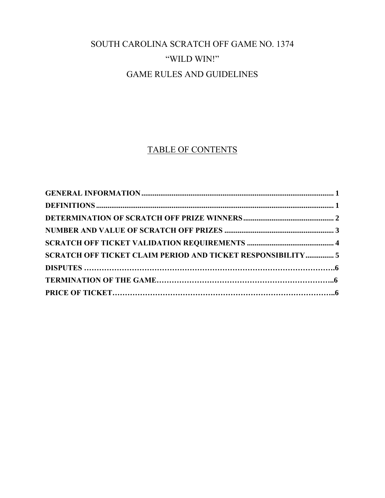# SOUTH CAROLINA SCRATCH OFF GAME NO. 1374 "WILD WIN!" GAME RULES AND GUIDELINES

# TABLE OF CONTENTS

| SCRATCH OFF TICKET CLAIM PERIOD AND TICKET RESPONSIBILITY 5 |  |
|-------------------------------------------------------------|--|
|                                                             |  |
|                                                             |  |
|                                                             |  |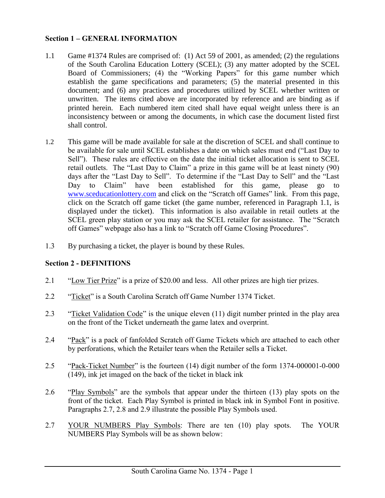### <span id="page-2-0"></span>**Section 1 – GENERAL INFORMATION**

- 1.1 Game #1374 Rules are comprised of: (1) Act 59 of 2001, as amended; (2) the regulations of the South Carolina Education Lottery (SCEL); (3) any matter adopted by the SCEL Board of Commissioners; (4) the "Working Papers" for this game number which establish the game specifications and parameters; (5) the material presented in this document; and (6) any practices and procedures utilized by SCEL whether written or unwritten. The items cited above are incorporated by reference and are binding as if printed herein. Each numbered item cited shall have equal weight unless there is an inconsistency between or among the documents, in which case the document listed first shall control.
- 1.2 This game will be made available for sale at the discretion of SCEL and shall continue to be available for sale until SCEL establishes a date on which sales must end ("Last Day to Sell"). These rules are effective on the date the initial ticket allocation is sent to SCEL retail outlets. The "Last Day to Claim" a prize in this game will be at least ninety (90) days after the "Last Day to Sell". To determine if the "Last Day to Sell" and the "Last Day to Claim" have been established for this game, please go to [www.sceducationlottery.com](http://www.sceducationlottery.com/) and click on the "Scratch off Games" link. From this page, click on the Scratch off game ticket (the game number, referenced in Paragraph 1.1, is displayed under the ticket). This information is also available in retail outlets at the SCEL green play station or you may ask the SCEL retailer for assistance. The "Scratch off Games" webpage also has a link to "Scratch off Game Closing Procedures".
- 1.3 By purchasing a ticket, the player is bound by these Rules.

# <span id="page-2-1"></span>**Section 2 - DEFINITIONS**

- 2.1 "Low Tier Prize" is a prize of \$20.00 and less. All other prizes are high tier prizes.
- 2.2 "Ticket" is a South Carolina Scratch off Game Number 1374 Ticket.
- 2.3 "Ticket Validation Code" is the unique eleven (11) digit number printed in the play area on the front of the Ticket underneath the game latex and overprint.
- 2.4 "Pack" is a pack of fanfolded Scratch off Game Tickets which are attached to each other by perforations, which the Retailer tears when the Retailer sells a Ticket.
- 2.5 "Pack-Ticket Number" is the fourteen (14) digit number of the form 1374-000001-0-000 (149), ink jet imaged on the back of the ticket in black ink
- 2.6 "Play Symbols" are the symbols that appear under the thirteen (13) play spots on the front of the ticket. Each Play Symbol is printed in black ink in Symbol Font in positive. Paragraphs 2.7, 2.8 and 2.9 illustrate the possible Play Symbols used.
- 2.7 YOUR NUMBERS Play Symbols: There are ten (10) play spots. The YOUR NUMBERS Play Symbols will be as shown below: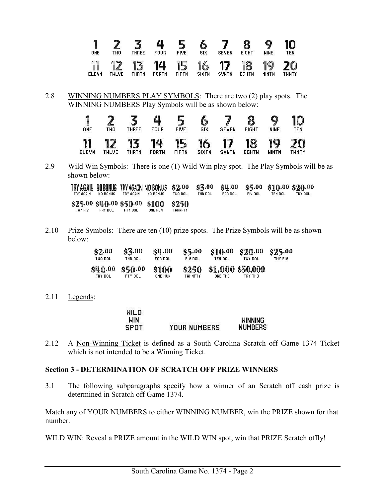| 1<br>I<br><b>ONE</b> | ₽<br>Œ.<br>TWO                          | ----<br>€<br>₩<br><b>THREE</b>            | ◢<br><b>FOUR</b>                | <b>HUMOU</b><br>L.<br>mm 1<br><b>FIVE</b> | 一<br>₩<br>SIX          | ₽<br><b>SEVEN</b>      | O<br>₩<br><b>EIGHT</b> | y<br><b>NINE</b>                      | 细<br>U<br>TEN      |
|----------------------|-----------------------------------------|-------------------------------------------|---------------------------------|-------------------------------------------|------------------------|------------------------|------------------------|---------------------------------------|--------------------|
| 11<br><b>ELEVN</b>   | $\overline{\mathbf{Z}}$<br><b>THLVE</b> | $\blacktriangledown$<br>1<br>∎ —<br>THRTN | $\mathbf{L}$<br>雁<br>目<br>FORTN | F<br>珊<br>▙▄<br>$\blacksquare$<br>FIFTN   | 1<br>6<br><b>SIXTN</b> | 7<br>珊<br><b>SVNTN</b> | 18<br><b>EGHTN</b>     | 珊<br>$\boldsymbol{Q}$<br><b>NINTN</b> | ≞⊿<br><b>THNTY</b> |

2.8 WINNING NUMBERS PLAY SYMBOLS: There are two (2) play spots. The WINNING NUMBERS Play Symbols will be as shown below:

|                   | ๕                  | 111111111<br><b>tund<sup>ig</sup></b> | ∎<br>timulik<br>T | mm<br>₩<br>▄▟ | 4<br>₩             | 1                      | ₩                  | 9                              | 10               |
|-------------------|--------------------|---------------------------------------|-------------------|---------------|--------------------|------------------------|--------------------|--------------------------------|------------------|
| ONE               | TWO                | <b>THREE</b>                          | <b>FOUR</b>       | FIVE          | SIX                | <b>SEVEN</b>           | <b>EIGHT</b>       | <b>NINE</b>                    | TEN              |
| 1<br><b>ELEVN</b> | 12<br><b>THLVE</b> | 13<br>THRTN                           | 14<br>FORTN       | 15<br>FIFTN   | 16<br><b>SIXTN</b> | 7<br>1<br><b>SVNTN</b> | 18<br><b>EGHTN</b> | 1<br>$\bullet$<br><b>NINTN</b> | Æ<br>▙▟<br>TWNTY |

2.9 Wild Win Symbols: There is one (1) Wild Win play spot. The Play Symbols will be as shown below:

| TRY AGAIN | <b>NO BONUS</b> | TRY AGAIN | TRYAGAIN NOBONUS TRYAGAIN NOBONUS \$2.00 \$3.00 \$4.00 \$5.00 \$10.00 \$20.00<br>NO BONUS | TWO DOL        | THR DOL | FOR DOL | FIV DOL | <b>TEN DOL</b> | TWY DOL |
|-----------|-----------------|-----------|-------------------------------------------------------------------------------------------|----------------|---------|---------|---------|----------------|---------|
| THY FIV   | <b>FRY DOL</b>  | FTY DOL   | \$25.00 \$40.00 \$50.00 \$100 \$250<br><b>ONE HUN</b>                                     | <b>THHNFTY</b> |         |         |         |                |         |

2.10 Prize Symbols: There are ten  $(10)$  prize spots. The Prize Symbols will be as shown below:

| \$2.00                    | \$3.00             | \$4.00                  | \$5,00                  | \$10.00 | \$20.00                     | \$25.00 |
|---------------------------|--------------------|-------------------------|-------------------------|---------|-----------------------------|---------|
| THO DOL                   | THR DOL            | FOR DOL                 | FIV DOL                 | TEN DOL | TWY DOL                     | THY FIV |
| \$40.00<br><b>FRY DOL</b> | \$50.00<br>FTY DOL | \$100<br><b>ONE HUN</b> | \$250<br><b>TWHNFTY</b> | ONE THO | \$1,000 \$30,000<br>TRY THO |         |

2.11 Legends:

<span id="page-3-0"></span>

| <b>WILD</b> |                     |                |
|-------------|---------------------|----------------|
| WIN         |                     | <b>HINNING</b> |
| SPOT        | <b>YOUR NUMBERS</b> | <b>NUMBERS</b> |

2.12 A Non-Winning Ticket is defined as a South Carolina Scratch off Game 1374 Ticket which is not intended to be a Winning Ticket.

#### **Section 3 - DETERMINATION OF SCRATCH OFF PRIZE WINNERS**

3.1 The following subparagraphs specify how a winner of an Scratch off cash prize is determined in Scratch off Game 1374.

Match any of YOUR NUMBERS to either WINNING NUMBER, win the PRIZE shown for that number.

WILD WIN: Reveal a PRIZE amount in the WILD WIN spot, win that PRIZE Scratch offly!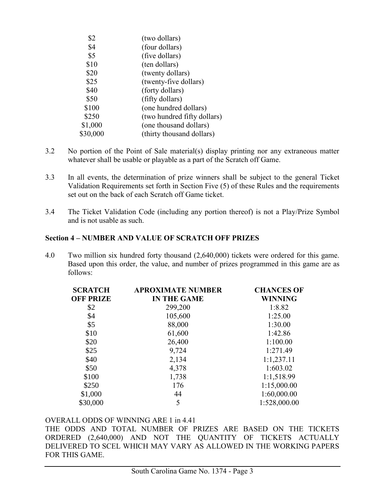| (two dollars)               |
|-----------------------------|
| (four dollars)              |
| (five dollars)              |
| (ten dollars)               |
| (twenty dollars)            |
| (twenty-five dollars)       |
| (forty dollars)             |
| (fifty dollars)             |
| (one hundred dollars)       |
| (two hundred fifty dollars) |
| (one thousand dollars)      |
| (thirty thousand dollars)   |
|                             |

- 3.2 No portion of the Point of Sale material(s) display printing nor any extraneous matter whatever shall be usable or playable as a part of the Scratch off Game.
- 3.3 In all events, the determination of prize winners shall be subject to the general Ticket Validation Requirements set forth in Section Five (5) of these Rules and the requirements set out on the back of each Scratch off Game ticket.
- 3.4 The Ticket Validation Code (including any portion thereof) is not a Play/Prize Symbol and is not usable as such.

#### **Section 4 – NUMBER AND VALUE OF SCRATCH OFF PRIZES**

4.0 Two million six hundred forty thousand (2,640,000) tickets were ordered for this game. Based upon this order, the value, and number of prizes programmed in this game are as follows:

<span id="page-4-0"></span>

| <b>SCRATCH</b>   | <b>APROXIMATE NUMBER</b> | <b>CHANCES OF</b> |  |  |
|------------------|--------------------------|-------------------|--|--|
| <b>OFF PRIZE</b> | <b>IN THE GAME</b>       | <b>WINNING</b>    |  |  |
| \$2              | 299,200                  | 1:8.82            |  |  |
| \$4              | 105,600                  | 1:25.00           |  |  |
| \$5              | 88,000                   | 1:30.00           |  |  |
| \$10             | 61,600                   | 1:42.86           |  |  |
| \$20             | 26,400                   | 1:100.00          |  |  |
| \$25             | 9,724                    | 1:271.49          |  |  |
| \$40             | 2,134                    | 1:1,237.11        |  |  |
| \$50             | 4,378                    | 1:603.02          |  |  |
| \$100            | 1,738                    | 1:1,518.99        |  |  |
| \$250            | 176                      | 1:15,000.00       |  |  |
| \$1,000          | 44                       | 1:60,000.00       |  |  |
| \$30,000         | 5                        | 1:528,000.00      |  |  |

#### OVERALL ODDS OF WINNING ARE 1 in 4.41

THE ODDS AND TOTAL NUMBER OF PRIZES ARE BASED ON THE TICKETS ORDERED (2,640,000) AND NOT THE QUANTITY OF TICKETS ACTUALLY DELIVERED TO SCEL WHICH MAY VARY AS ALLOWED IN THE WORKING PAPERS FOR THIS GAME.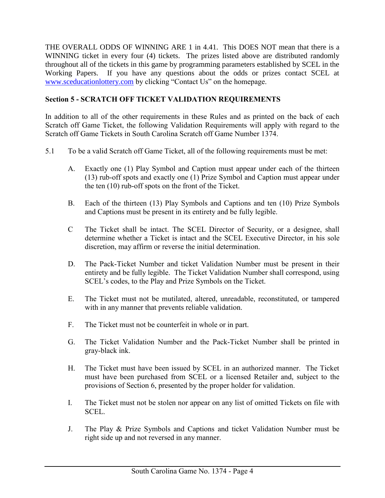THE OVERALL ODDS OF WINNING ARE 1 in 4.41. This DOES NOT mean that there is a WINNING ticket in every four (4) tickets. The prizes listed above are distributed randomly throughout all of the tickets in this game by programming parameters established by SCEL in the Working Papers. If you have any questions about the odds or prizes contact SCEL at [www.sceducationlottery.com](http://www.sceducationlottery.com/) by clicking "Contact Us" on the homepage.

# <span id="page-5-0"></span>**Section 5 - SCRATCH OFF TICKET VALIDATION REQUIREMENTS**

In addition to all of the other requirements in these Rules and as printed on the back of each Scratch off Game Ticket, the following Validation Requirements will apply with regard to the Scratch off Game Tickets in South Carolina Scratch off Game Number 1374.

- 5.1 To be a valid Scratch off Game Ticket, all of the following requirements must be met:
	- A. Exactly one (1) Play Symbol and Caption must appear under each of the thirteen (13) rub-off spots and exactly one (1) Prize Symbol and Caption must appear under the ten (10) rub-off spots on the front of the Ticket.
	- B. Each of the thirteen (13) Play Symbols and Captions and ten (10) Prize Symbols and Captions must be present in its entirety and be fully legible.
	- C The Ticket shall be intact. The SCEL Director of Security, or a designee, shall determine whether a Ticket is intact and the SCEL Executive Director, in his sole discretion, may affirm or reverse the initial determination.
	- D. The Pack-Ticket Number and ticket Validation Number must be present in their entirety and be fully legible. The Ticket Validation Number shall correspond, using SCEL's codes, to the Play and Prize Symbols on the Ticket.
	- E. The Ticket must not be mutilated, altered, unreadable, reconstituted, or tampered with in any manner that prevents reliable validation.
	- F. The Ticket must not be counterfeit in whole or in part.
	- G. The Ticket Validation Number and the Pack-Ticket Number shall be printed in gray-black ink.
	- H. The Ticket must have been issued by SCEL in an authorized manner. The Ticket must have been purchased from SCEL or a licensed Retailer and, subject to the provisions of Section 6, presented by the proper holder for validation.
	- I. The Ticket must not be stolen nor appear on any list of omitted Tickets on file with SCEL.
	- J. The Play & Prize Symbols and Captions and ticket Validation Number must be right side up and not reversed in any manner.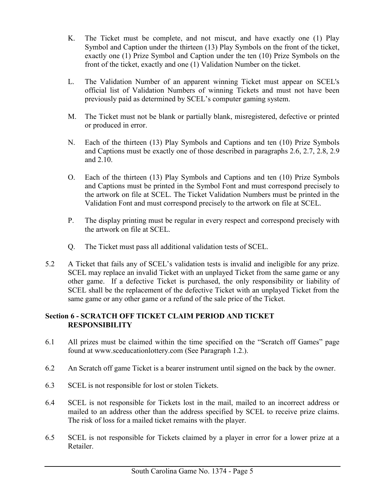- K. The Ticket must be complete, and not miscut, and have exactly one (1) Play Symbol and Caption under the thirteen (13) Play Symbols on the front of the ticket, exactly one (1) Prize Symbol and Caption under the ten (10) Prize Symbols on the front of the ticket, exactly and one (1) Validation Number on the ticket.
- L. The Validation Number of an apparent winning Ticket must appear on SCEL's official list of Validation Numbers of winning Tickets and must not have been previously paid as determined by SCEL's computer gaming system.
- M. The Ticket must not be blank or partially blank, misregistered, defective or printed or produced in error.
- N. Each of the thirteen (13) Play Symbols and Captions and ten (10) Prize Symbols and Captions must be exactly one of those described in paragraphs 2.6, 2.7, 2.8, 2.9 and 2.10.
- O. Each of the thirteen (13) Play Symbols and Captions and ten (10) Prize Symbols and Captions must be printed in the Symbol Font and must correspond precisely to the artwork on file at SCEL. The Ticket Validation Numbers must be printed in the Validation Font and must correspond precisely to the artwork on file at SCEL.
- P. The display printing must be regular in every respect and correspond precisely with the artwork on file at SCEL.
- Q. The Ticket must pass all additional validation tests of SCEL.
- 5.2 A Ticket that fails any of SCEL's validation tests is invalid and ineligible for any prize. SCEL may replace an invalid Ticket with an unplayed Ticket from the same game or any other game. If a defective Ticket is purchased, the only responsibility or liability of SCEL shall be the replacement of the defective Ticket with an unplayed Ticket from the same game or any other game or a refund of the sale price of the Ticket.

# <span id="page-6-0"></span>**Section 6 - SCRATCH OFF TICKET CLAIM PERIOD AND TICKET RESPONSIBILITY**

- 6.1 All prizes must be claimed within the time specified on the "Scratch off Games" page found at [www.sceducationlottery.com](../www.sceducationlottery.com) (See Paragraph 1.2.).
- 6.2 An Scratch off game Ticket is a bearer instrument until signed on the back by the owner.
- 6.3 SCEL is not responsible for lost or stolen Tickets.
- 6.4 SCEL is not responsible for Tickets lost in the mail, mailed to an incorrect address or mailed to an address other than the address specified by SCEL to receive prize claims. The risk of loss for a mailed ticket remains with the player.
- 6.5 SCEL is not responsible for Tickets claimed by a player in error for a lower prize at a Retailer.